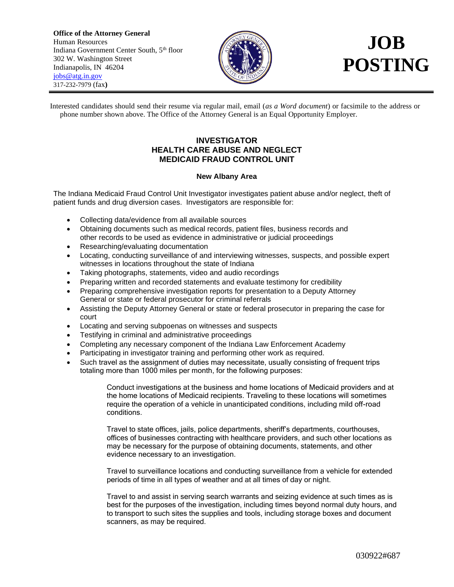**Office of the Attorney General** Human Resources Indiana Government Center South, 5<sup>th</sup> floor 302 W. Washington Street Indianapolis, IN 46204 [jobs@atg.in.gov](mailto:jobs@atg.in.gov) 317-232-7979 (fax**)**



## **JOB POSTING**

Interested candidates should send their resume via regular mail, email (*as a Word document*) or facsimile to the address or phone number shown above. The Office of the Attorney General is an Equal Opportunity Employer.

## **INVESTIGATOR HEALTH CARE ABUSE AND NEGLECT MEDICAID FRAUD CONTROL UNIT**

## **New Albany Area**

The Indiana Medicaid Fraud Control Unit Investigator investigates patient abuse and/or neglect, theft of patient funds and drug diversion cases. Investigators are responsible for:

- Collecting data/evidence from all available sources
- Obtaining documents such as medical records, patient files, business records and other records to be used as evidence in administrative or judicial proceedings
- Researching/evaluating documentation
- Locating, conducting surveillance of and interviewing witnesses, suspects, and possible expert witnesses in locations throughout the state of Indiana
- Taking photographs, statements, video and audio recordings
- Preparing written and recorded statements and evaluate testimony for credibility
- Preparing comprehensive investigation reports for presentation to a Deputy Attorney General or state or federal prosecutor for criminal referrals
- Assisting the Deputy Attorney General or state or federal prosecutor in preparing the case for court
- Locating and serving subpoenas on witnesses and suspects
- Testifying in criminal and administrative proceedings
- Completing any necessary component of the Indiana Law Enforcement Academy
- Participating in investigator training and performing other work as required.
- Such travel as the assignment of duties may necessitate, usually consisting of frequent trips totaling more than 1000 miles per month, for the following purposes:

Conduct investigations at the business and home locations of Medicaid providers and at the home locations of Medicaid recipients. Traveling to these locations will sometimes require the operation of a vehicle in unanticipated conditions, including mild off-road conditions.

Travel to state offices, jails, police departments, sheriff's departments, courthouses, offices of businesses contracting with healthcare providers, and such other locations as may be necessary for the purpose of obtaining documents, statements, and other evidence necessary to an investigation.

Travel to surveillance locations and conducting surveillance from a vehicle for extended periods of time in all types of weather and at all times of day or night.

Travel to and assist in serving search warrants and seizing evidence at such times as is best for the purposes of the investigation, including times beyond normal duty hours, and to transport to such sites the supplies and tools, including storage boxes and document scanners, as may be required.